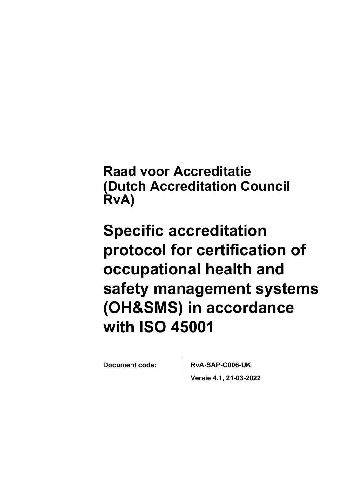**Raad voor Accreditatie (Dutch Accreditation Council RvA)**

# **Specific accreditation protocol for certification of occupational health and safety management systems (OH&SMS) in accordance with ISO 45001**

**Document code: RvA-SAP-C006-UK Versie 4.1, 21-03-2022**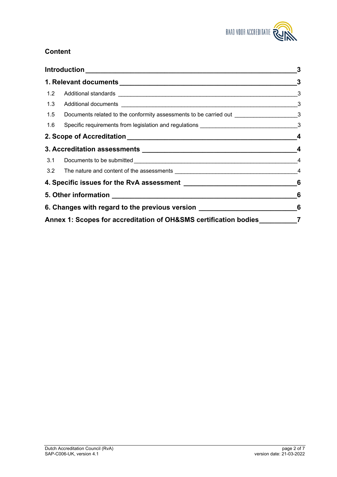

# **Content**

|  | 1.5 Documents related to the conformity assessments to be carried out _______________________3  |                |  |
|--|-------------------------------------------------------------------------------------------------|----------------|--|
|  | 1.6 Specific requirements from legislation and regulations ___________________________________3 |                |  |
|  |                                                                                                 |                |  |
|  |                                                                                                 |                |  |
|  |                                                                                                 |                |  |
|  | 3.2 The nature and content of the assessments __________________________________                | $\overline{4}$ |  |
|  |                                                                                                 | 6              |  |
|  |                                                                                                 |                |  |
|  | 6. Changes with regard to the previous version _________________________________                |                |  |
|  | Annex 1: Scopes for accreditation of OH&SMS certification bodies                                |                |  |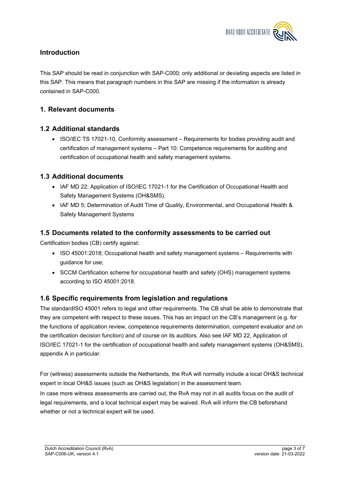

## <span id="page-2-0"></span>**Introduction**

This SAP should be read in conjunction with SAP-C000; only additional or deviating aspects are listed in this SAP. This means that paragraph numbers in this SAP are missing if the information is already contained in SAP-C000.

## <span id="page-2-1"></span>**1. Relevant documents**

#### <span id="page-2-2"></span>**1.2 Additional standards**

 ISO/IEC TS 17021-10, Conformity assessment – Requirements for bodies providing audit and certification of management systems – Part 10: Competence requirements for auditing and certification of occupational health and safety management systems.

## <span id="page-2-3"></span>**1.3 Additional documents**

- IAF MD 22; Application of ISO/IEC 17021-1 for the Certification of Occupational Health and Safety Management Systems (OH&SMS).
- IAF MD 5; Determination of Audit Time of Quality, Environmental, and Occupational Health & Safety Management Systems

## <span id="page-2-4"></span>**1.5 Documents related to the conformity assessments to be carried out**

Certification bodies (CB) certify against:

- ISO 45001:2018; Occupational health and safety management systems Requirements with quidance for use:
- SCCM Certification scheme for occupational health and safety (OHS) management systems according to ISO 45001:2018.

#### <span id="page-2-5"></span>**1.6 Specific requirements from legislation and regulations**

The standardISO 45001 refers to legal and other requirements. The CB shall be able to demonstrate that they are competent with respect to these issues. This has an impact on the CB's management (e.g. for the functions of application review, competence requirements determination, competent evaluator and on the certification decision function) and of course on its auditors. Also see IAF MD 22, Application of ISO/IEC 17021-1 for the certification of occupational health and safety management systems (OH&SMS), appendix A in particular.

For (witness) assessments outside the Netherlands, the RvA will normally include a local OH&S technical expert in local OH&S issues (such as OH&S legislation) in the assessment team.

In case more witness assessments are carried out, the RvA may not in all audits focus on the audit of legal requirements, and a local technical expert may be waived. RvA will inform the CB beforehand whether or not a technical expert will be used.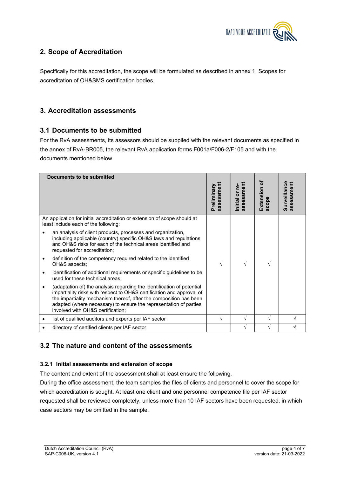

# <span id="page-3-0"></span>**2. Scope of Accreditation**

Specifically for this accreditation, the scope will be formulated as described in annex 1, Scopes for accreditation of OH&SMS certification bodies.

## <span id="page-3-1"></span>**3. Accreditation assessments**

#### <span id="page-3-2"></span>**3.1 Documents to be submitted**

For the RvA assessments, its assessors should be supplied with the relevant documents as specified in the annex of RvA-BR005, the relevant RvA application forms F001a/F006-2/F105 and with the documents mentioned below.

| Documents to be submitted |                                                                                                                                                                                                                                                                                                                                 |                               |                             |                         |                            |
|---------------------------|---------------------------------------------------------------------------------------------------------------------------------------------------------------------------------------------------------------------------------------------------------------------------------------------------------------------------------|-------------------------------|-----------------------------|-------------------------|----------------------------|
|                           |                                                                                                                                                                                                                                                                                                                                 | sment<br>Preliminary<br>asses | assessment<br>nitial or re- | đ<br>Extension<br>scope | Surveillance<br>assessment |
|                           | An application for initial accreditation or extension of scope should at<br>least include each of the following:                                                                                                                                                                                                                |                               |                             |                         |                            |
|                           | an analysis of client products, processes and organization,<br>including applicable (country) specific OH&S laws and regulations<br>and OH&S risks for each of the technical areas identified and<br>requested for accreditation;                                                                                               |                               |                             |                         |                            |
| $\bullet$                 | definition of the competency required related to the identified<br>OH&S aspects;                                                                                                                                                                                                                                                | V                             | $\sqrt{ }$                  | V                       |                            |
| $\bullet$                 | identification of additional requirements or specific guidelines to be<br>used for these technical areas;                                                                                                                                                                                                                       |                               |                             |                         |                            |
|                           | (adaptation of) the analysis regarding the identification of potential<br>impartiality risks with respect to OH&S certification and approval of<br>the impartiality mechanism thereof, after the composition has been<br>adapted (where necessary) to ensure the representation of parties<br>involved with OH&S certification; |                               |                             |                         |                            |
| ٠                         | list of qualified auditors and experts per IAF sector                                                                                                                                                                                                                                                                           | V                             | V                           | V                       |                            |
|                           | directory of certified clients per IAF sector                                                                                                                                                                                                                                                                                   |                               | $\sqrt{}$                   | V                       | V                          |

## <span id="page-3-3"></span>**3.2 The nature and content of the assessments**

#### **3.2.1 Initial assessments and extension of scope**

The content and extent of the assessment shall at least ensure the following.

During the office assessment, the team samples the files of clients and personnel to cover the scope for which accreditation is sought. At least one client and one personnel competence file per IAF sector requested shall be reviewed completely, unless more than 10 IAF sectors have been requested, in which case sectors may be omitted in the sample.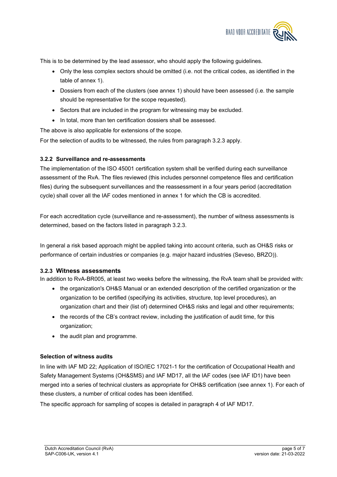

This is to be determined by the lead assessor, who should apply the following guidelines.

- Only the less complex sectors should be omitted (i.e. not the critical codes, as identified in the table of annex 1).
- Dossiers from each of the clusters (see annex 1) should have been assessed (i.e. the sample should be representative for the scope requested).
- Sectors that are included in the program for witnessing may be excluded.
- In total, more than ten certification dossiers shall be assessed.

The above is also applicable for extensions of the scope.

For the selection of audits to be witnessed, the rules from paragraph 3.2.3 apply.

#### **3.2.2 Surveillance and re-assessments**

The implementation of the ISO 45001 certification system shall be verified during each surveillance assessment of the RvA. The files reviewed (this includes personnel competence files and certification files) during the subsequent surveillances and the reassessment in a four years period (accreditation cycle) shall cover all the IAF codes mentioned in annex 1 for which the CB is accredited.

For each accreditation cycle (surveillance and re-assessment), the number of witness assessments is determined, based on the factors listed in paragraph 3.2.3.

In general a risk based approach might be applied taking into account criteria, such as OH&S risks or performance of certain industries or companies (e.g. major hazard industries (Seveso, BRZO)).

#### **3.2.3 Witness assessments**

In addition to RvA-BR005, at least two weeks before the witnessing, the RvA team shall be provided with:

- the organization's OH&S Manual or an extended description of the certified organization or the organization to be certified (specifying its activities, structure, top level procedures), an organization chart and their (list of) determined OH&S risks and legal and other requirements;
- the records of the CB's contract review, including the justification of audit time, for this organization;
- the audit plan and programme.

#### **Selection of witness audits**

In line with IAF MD 22; Application of ISO/IEC 17021-1 for the certification of Occupational Health and Safety Management Systems (OH&SMS) and IAF MD17, all the IAF codes (see IAF ID1) have been merged into a series of technical clusters as appropriate for OH&S certification (see annex 1). For each of these clusters, a number of critical codes has been identified.

The specific approach for sampling of scopes is detailed in paragraph 4 of IAF MD17.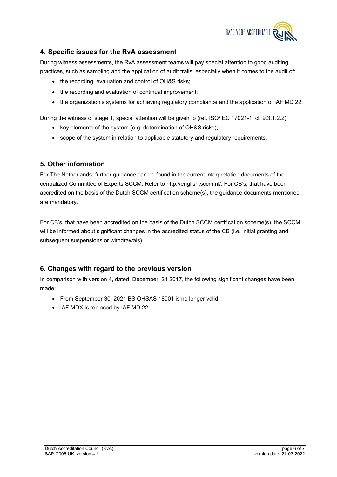

## <span id="page-5-0"></span>**4. Specific issues for the RvA assessment**

During witness assessments, the RvA assessment teams will pay special attention to good auditing practices, such as sampling and the application of audit trails, especially when it comes to the audit of:

- the recording, evaluation and control of OH&S risks;
- the recording and evaluation of continual improvement;
- the organization's systems for achieving regulatory compliance and the application of IAF MD 22.

During the witness of stage 1, special attention will be given to (ref. ISO/IEC 17021-1, cl. 9.3.1.2.2):

- key elements of the system (e.g. determination of OH&S risks);
- scope of the system in relation to applicable statutory and regulatory requirements.

## <span id="page-5-1"></span>**5. Other information**

For The Netherlands, further guidance can be found in the current interpretation documents of the centralized Committee of Experts SCCM. Refer to http://english.sccm.nl/. For CB's, that have been accredited on the basis of the Dutch SCCM certification scheme(s), the guidance documents mentioned are mandatory.

For CB's, that have been accredited on the basis of the Dutch SCCM certification scheme(s), the SCCM will be informed about significant changes in the accredited status of the CB (i.e. initial granting and subsequent suspensions or withdrawals).

## <span id="page-5-2"></span>**6. Changes with regard to the previous version**

In comparison with version 4, dated December, 21 2017, the following significant changes have been made:

- From September 30, 2021 BS OHSAS 18001 is no longer valid
- IAF MDX is replaced by IAF MD 22